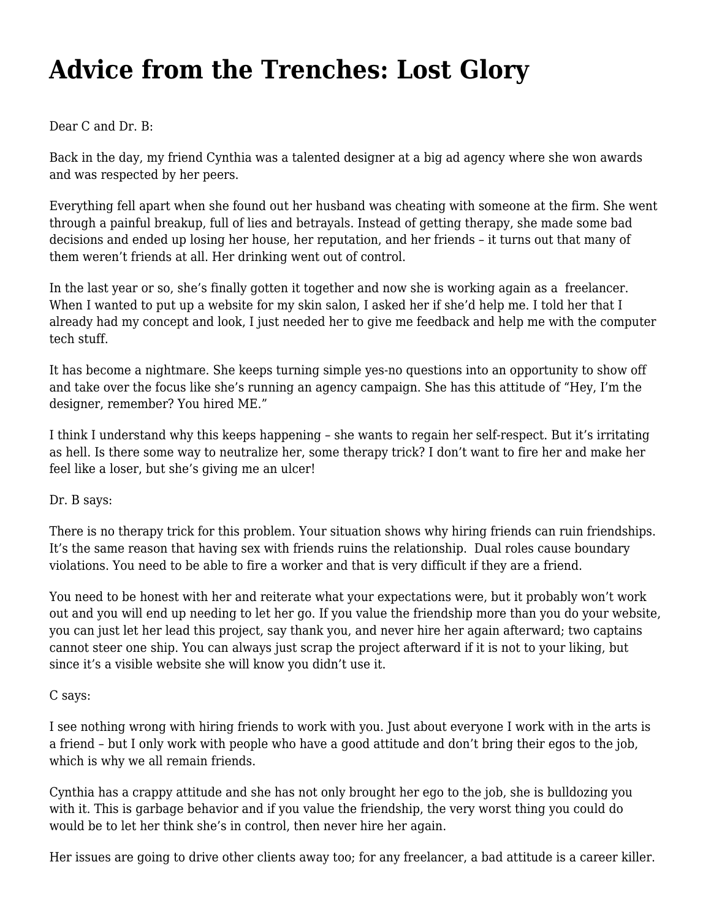## **[Advice from the Trenches: Lost Glory](https://motifri.com/advice-from-the-trenches-lost-glory/)**

Dear C and Dr. B:

Back in the day, my friend Cynthia was a talented designer at a big ad agency where she won awards and was respected by her peers.

Everything fell apart when she found out her husband was cheating with someone at the firm. She went through a painful breakup, full of lies and betrayals. Instead of getting therapy, she made some bad decisions and ended up losing her house, her reputation, and her friends – it turns out that many of them weren't friends at all. Her drinking went out of control.

In the last year or so, she's finally gotten it together and now she is working again as a freelancer. When I wanted to put up a website for my skin salon, I asked her if she'd help me. I told her that I already had my concept and look, I just needed her to give me feedback and help me with the computer tech stuff.

It has become a nightmare. She keeps turning simple yes-no questions into an opportunity to show off and take over the focus like she's running an agency campaign. She has this attitude of "Hey, I'm the designer, remember? You hired ME."

I think I understand why this keeps happening – she wants to regain her self-respect. But it's irritating as hell. Is there some way to neutralize her, some therapy trick? I don't want to fire her and make her feel like a loser, but she's giving me an ulcer!

Dr. B says:

There is no therapy trick for this problem. Your situation shows why hiring friends can ruin friendships. It's the same reason that having sex with friends ruins the relationship. Dual roles cause boundary violations. You need to be able to fire a worker and that is very difficult if they are a friend.

You need to be honest with her and reiterate what your expectations were, but it probably won't work out and you will end up needing to let her go. If you value the friendship more than you do your website, you can just let her lead this project, say thank you, and never hire her again afterward; two captains cannot steer one ship. You can always just scrap the project afterward if it is not to your liking, but since it's a visible website she will know you didn't use it.

C says:

I see nothing wrong with hiring friends to work with you. Just about everyone I work with in the arts is a friend – but I only work with people who have a good attitude and don't bring their egos to the job, which is why we all remain friends.

Cynthia has a crappy attitude and she has not only brought her ego to the job, she is bulldozing you with it. This is garbage behavior and if you value the friendship, the very worst thing you could do would be to let her think she's in control, then never hire her again.

Her issues are going to drive other clients away too; for any freelancer, a bad attitude is a career killer.